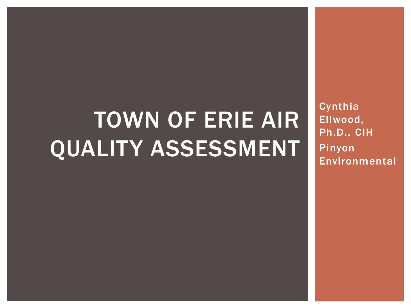# TOWN OF ERIE AIR QUALITY ASSESSMENT

Cynthia Ellwood, Ph.D., CIH Pinyon Environmental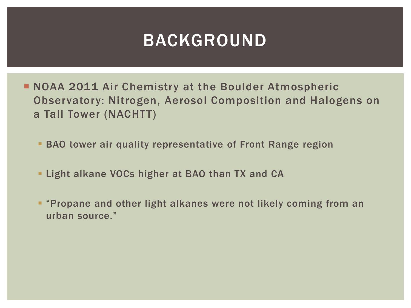### BACKGROUND

- **NOAA 2011 Air Chemistry at the Boulder Atmospheric** Observatory: Nitrogen, Aerosol Composition and Halogens on a Tall Tower (NACHTT)
	- **BAO tower air quality representative of Front Range region**
	- **Example 1 Light alkane VOCs higher at BAO than TX and CA**
	- **"Propane and other light alkanes were not likely coming from an** urban source."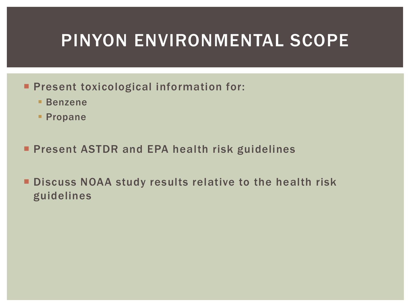### PINYON ENVIRONMENTAL SCOPE

- **Present toxicological information for:** 
	- Benzene
	- **Propane**
- **Present ASTDR and EPA health risk guidelines**
- **Discuss NOAA study results relative to the health risk** guidelines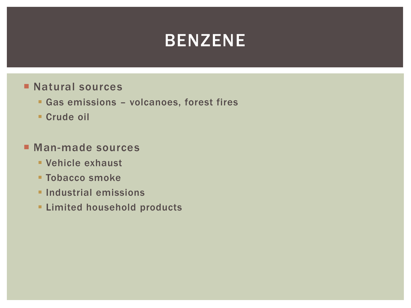### BENZENE

#### **Natural sources**

- Gas emissions volcanoes, forest fires
- **Crude oil**

#### **Man-made sources**

- Vehicle exhaust
- **Tobacco smoke**
- **Industrial emissions**
- **ELimited household products**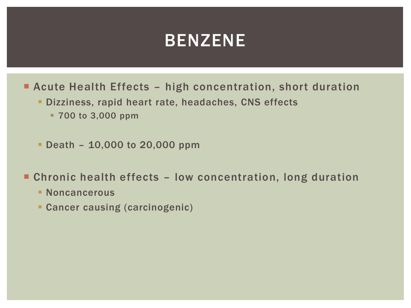#### BENZENE

- Acute Health Effects high concentration, short duration
	- Dizziness, rapid heart rate, headaches, CNS effects
		- 700 to 3,000 ppm
	- Death 10,000 to 20,000 ppm
- Chronic health effects low concentration, long duration
	- **Noncancerous**
	- Cancer causing (carcinogenic)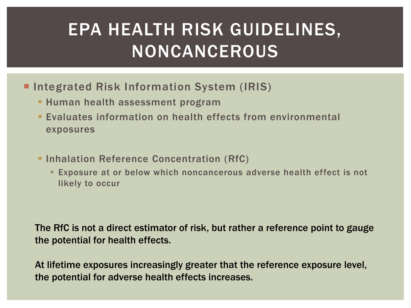# EPA HEALTH RISK GUIDELINES, NONCANCEROUS

- **Integrated Risk Information System (IRIS)** 
	- **Human health assessment program**
	- Evaluates information on health effects from environmental exposures
	- **Inhalation Reference Concentration (RfC)** 
		- Exposure at or below which noncancerous adverse health effect is not likely to occur

The RfC is not a direct estimator of risk, but rather a reference point to gauge the potential for health effects.

At lifetime exposures increasingly greater that the reference exposure level, the potential for adverse health effects increases.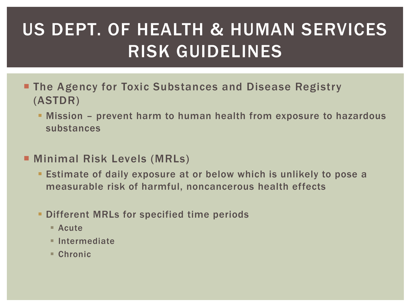# US DEPT. OF HEALTH & HUMAN SERVICES RISK GUIDELINES

- **The Agency for Toxic Substances and Disease Registry** (ASTDR)
	- Mission prevent harm to human health from exposure to hazardous substances
- **E** Minimal Risk Levels (MRLs)
	- Estimate of daily exposure at or below which is unlikely to pose a measurable risk of harmful, noncancerous health effects
	- **Different MRLs for specified time periods** 
		- Acute
		- **Intermediate**
		- Chronic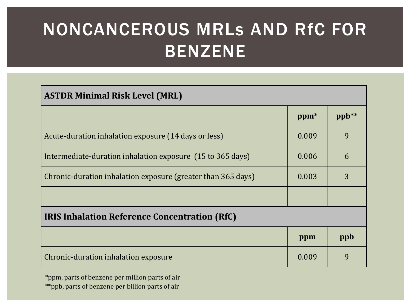# NONCANCEROUS MRLs AND RfC FOR BENZENE

| <b>ASTDR Minimal Risk Level (MRL)</b>                        |                  |       |  |
|--------------------------------------------------------------|------------------|-------|--|
|                                                              | ppm <sup>*</sup> | ppb** |  |
| Acute-duration inhalation exposure (14 days or less)         | 0.009            | 9     |  |
| Intermediate-duration inhalation exposure (15 to 365 days)   | 0.006            | 6     |  |
| Chronic-duration inhalation exposure (greater than 365 days) | 0.003            | 3     |  |
|                                                              |                  |       |  |
| <b>IRIS Inhalation Reference Concentration (RfC)</b>         |                  |       |  |
|                                                              | ppm              | ppb   |  |
| Chronic-duration inhalation exposure                         | 0.009            | 9     |  |

\*ppm, parts of benzene per million parts of air \*\*ppb, parts of benzene per billion parts of air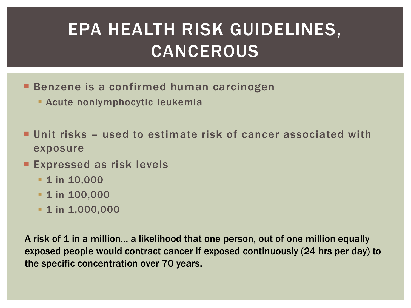# EPA HEALTH RISK GUIDELINES, CANCEROUS

- **Benzene is a confirmed human carcinogen** 
	- Acute nonlymphocytic leukemia
- Unit risks used to estimate risk of cancer associated with exposure
- **Expressed as risk levels** 
	- **1** in 10,000
	- **1** in 100,000
	- **1** in 1,000,000

A risk of 1 in a million... a likelihood that one person, out of one million equally exposed people would contract cancer if exposed continuously (24 hrs per day) to the specific concentration over 70 years.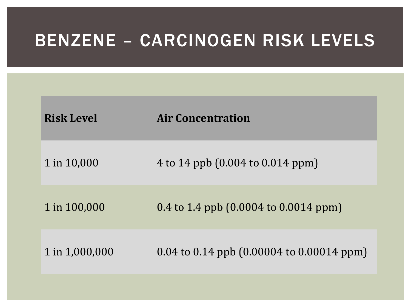### BENZENE – CARCINOGEN RISK LEVELS

| <b>Risk Level</b> | <b>Air Concentration</b>                                     |
|-------------------|--------------------------------------------------------------|
| 1 in 10,000       | 4 to 14 ppb (0.004 to 0.014 ppm)                             |
| 1 in 100,000      | 0.4 to 1.4 ppb $(0.0004 \text{ to } 0.0014 \text{ ppm})$     |
| 1 in 1,000,000    | 0.04 to 0.14 ppb $(0.00004 \text{ to } 0.00014 \text{ ppm})$ |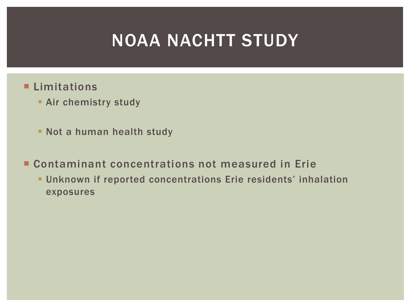### NOAA NACHTT STUDY

- **Limitations** 
	- **Air chemistry study**
	- **Not a human health study**
- Contaminant concentrations not measured in Erie
	- Unknown if reported concentrations Erie residents' inhalation exposures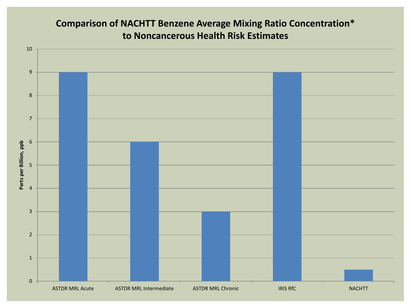#### **Comparison of NACHTT Benzene Average Mixing Ratio Concentration\* to Noncancerous Health Risk Estimates**

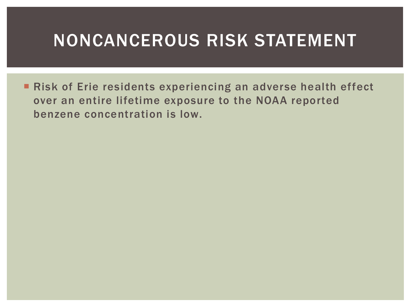### NONCANCEROUS RISK STATEMENT

**Risk of Erie residents experiencing an adverse health effect** over an entire lifetime exposure to the NOAA reported benzene concentration is low.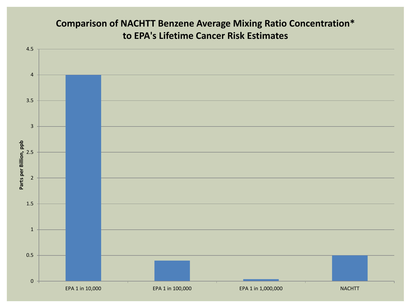#### **Comparison of NACHTT Benzene Average Mixing Ratio Concentration\* to EPA's Lifetime Cancer Risk Estimates**

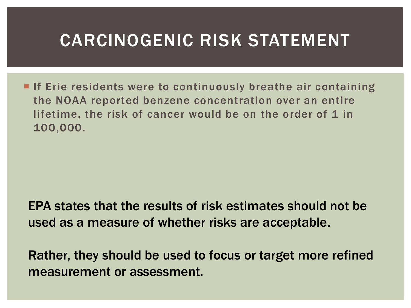### CARCINOGENIC RISK STATEMENT

**If Erie residents were to continuously breathe air containing** the NOAA reported benzene concentration over an entire lifetime, the risk of cancer would be on the order of 1 in 100,000.

EPA states that the results of risk estimates should not be used as a measure of whether risks are acceptable.

Rather, they should be used to focus or target more refined measurement or assessment.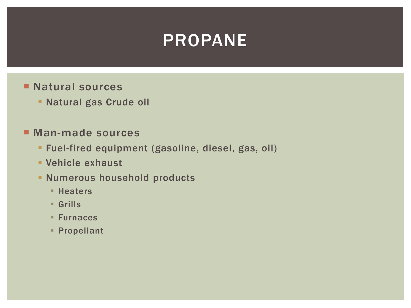### PROPANE

- **Natural sources** 
	- Natural gas Crude oil
- Man-made sources
	- Fuel-fired equipment (gasoline, diesel, gas, oil)
	- Vehicle exhaust
	- **Numerous household products** 
		- **Heaters**
		- Grills
		- Furnaces
		- Propellant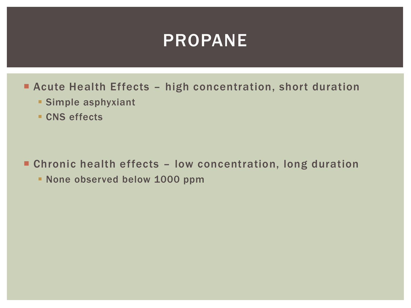#### PROPANE

- Acute Health Effects high concentration, short duration
	- **Simple asphyxiant**
	- **CNS** effects

Chronic health effects – low concentration, long duration

**None observed below 1000 ppm**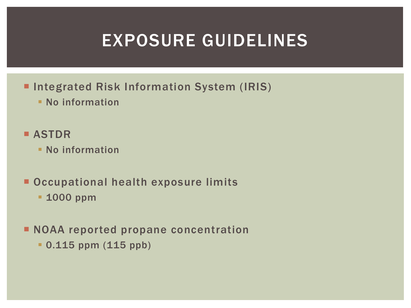### EXPOSURE GUIDELINES

- **Integrated Risk Information System (IRIS)** 
	- **No information**

#### **B** ASTDR

- No information
- **Occupational health exposure limits** 
	- **1000 ppm**
- **NOAA reported propane concentration** 
	- 0.115 ppm (115 ppb)